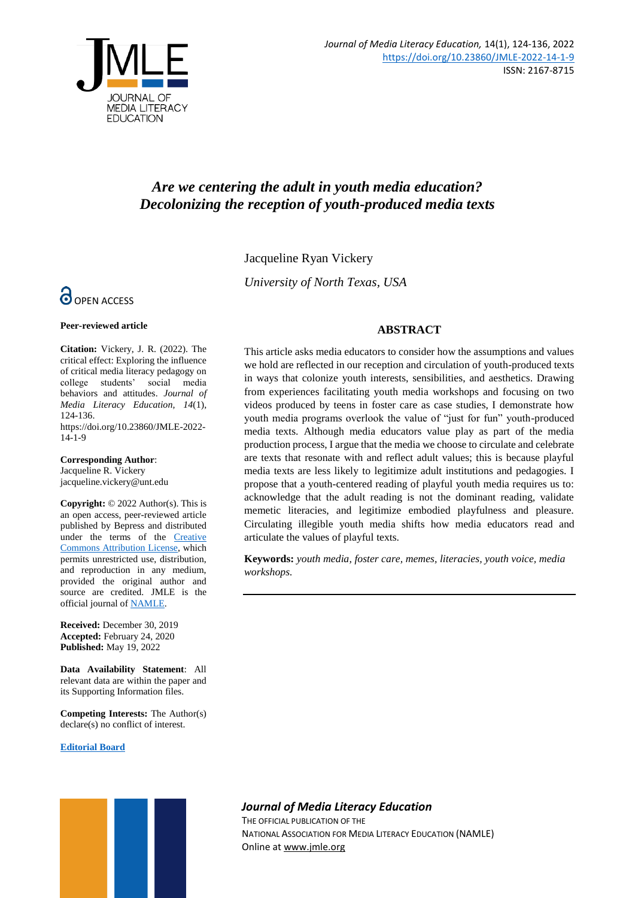

# *Are we centering the adult in youth media education? Decolonizing the reception of youth-produced media texts*

Jacqueline Ryan Vickery

*University of North Texas, USA*



#### **Peer-reviewed article**

**Citation:** Vickery, J. R. (2022). The critical effect: Exploring the influence of critical media literacy pedagogy on college students' social media behaviors and attitudes. *Journal of Media Literacy Education, 14*(1), 124-136. https://doi.org/10.23860/JMLE-2022- 14-1-9

#### **Corresponding Author**:

Jacqueline R. Vickery jacqueline.vickery@unt.edu

**Copyright:** © 2022 Author(s). This is an open access, peer-reviewed article published by Bepress and distributed under the terms of the **Creative** [Commons Attribution License,](https://creativecommons.org/licenses/by/4.0/) which permits unrestricted use, distribution, and reproduction in any medium, provided the original author and source are credited. JMLE is the official journal o[f NAMLE.](https://namle.net/)

**Received:** December 30, 2019 **Accepted:** February 24, 2020 **Published:** May 19, 2022

**Data Availability Statement**: All relevant data are within the paper and its Supporting Information files.

**Competing Interests:** The Author(s) declare(s) no conflict of interest.

#### **[Editorial Board](https://digitalcommons.uri.edu/jmle/editorialboard.html)**



### **ABSTRACT**

This article asks media educators to consider how the assumptions and values we hold are reflected in our reception and circulation of youth-produced texts in ways that colonize youth interests, sensibilities, and aesthetics. Drawing from experiences facilitating youth media workshops and focusing on two videos produced by teens in foster care as case studies, I demonstrate how youth media programs overlook the value of "just for fun" youth-produced media texts. Although media educators value play as part of the media production process, I argue that the media we choose to circulate and celebrate are texts that resonate with and reflect adult values; this is because playful media texts are less likely to legitimize adult institutions and pedagogies. I propose that a youth-centered reading of playful youth media requires us to: acknowledge that the adult reading is not the dominant reading, validate memetic literacies, and legitimize embodied playfulness and pleasure. Circulating illegible youth media shifts how media educators read and articulate the values of playful texts.

**Keywords:** *youth media, foster care, memes, literacies, youth voice, media workshops.*

# *Journal of Media Literacy Education*

THE OFFICIAL PUBLICATION OF THE NATIONAL ASSOCIATION FOR MEDIA LITERACY EDUCATION (NAMLE) Online at [www.jmle.org](http://www.jmle.org/)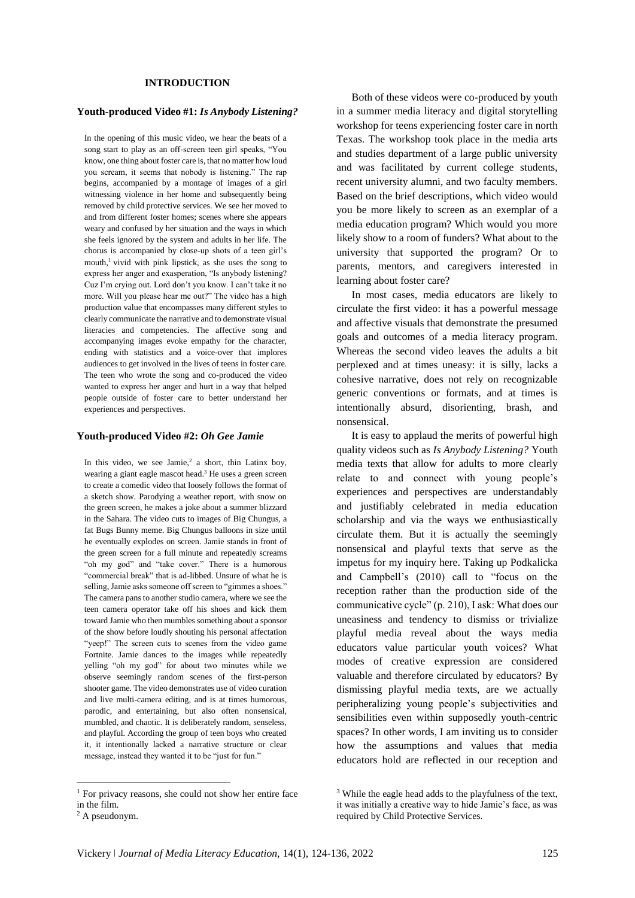### **INTRODUCTION**

### **Youth-produced Video #1:** *Is Anybody Listening?*

In the opening of this music video, we hear the beats of a song start to play as an off-screen teen girl speaks, "You know, one thing about foster care is, that no matter how loud you scream, it seems that nobody is listening." The rap begins, accompanied by a montage of images of a girl witnessing violence in her home and subsequently being removed by child protective services. We see her moved to and from different foster homes; scenes where she appears weary and confused by her situation and the ways in which she feels ignored by the system and adults in her life. The chorus is accompanied by close-up shots of a teen girl's mouth,<sup>1</sup> vivid with pink lipstick, as she uses the song to express her anger and exasperation, "Is anybody listening? Cuz I'm crying out. Lord don't you know. I can't take it no more. Will you please hear me out?" The video has a high production value that encompasses many different styles to clearly communicate the narrative and to demonstrate visual literacies and competencies. The affective song and accompanying images evoke empathy for the character, ending with statistics and a voice-over that implores audiences to get involved in the lives of teens in foster care. The teen who wrote the song and co-produced the video wanted to express her anger and hurt in a way that helped people outside of foster care to better understand her experiences and perspectives.

#### **Youth-produced Video #2:** *Oh Gee Jamie*

In this video, we see Jamie,<sup>2</sup> a short, thin Latinx boy, wearing a giant eagle mascot head.<sup>3</sup> He uses a green screen to create a comedic video that loosely follows the format of a sketch show. Parodying a weather report, with snow on the green screen, he makes a joke about a summer blizzard in the Sahara. The video cuts to images of Big Chungus, a fat Bugs Bunny meme. Big Chungus balloons in size until he eventually explodes on screen. Jamie stands in front of the green screen for a full minute and repeatedly screams "oh my god" and "take cover." There is a humorous "commercial break" that is ad-libbed. Unsure of what he is selling, Jamie asks someone off screen to "gimmes a shoes." The camera pans to another studio camera, where we see the teen camera operator take off his shoes and kick them toward Jamie who then mumbles something about a sponsor of the show before loudly shouting his personal affectation "yeep!" The screen cuts to scenes from the video game Fortnite. Jamie dances to the images while repeatedly yelling "oh my god" for about two minutes while we observe seemingly random scenes of the first-person shooter game. The video demonstrates use of video curation and live multi-camera editing, and is at times humorous, parodic, and entertaining, but also often nonsensical, mumbled, and chaotic. It is deliberately random, senseless, and playful. According the group of teen boys who created it, it intentionally lacked a narrative structure or clear message, instead they wanted it to be "just for fun."

 $\overline{\phantom{a}}$ 

Both of these videos were co-produced by youth in a summer media literacy and digital storytelling workshop for teens experiencing foster care in north Texas. The workshop took place in the media arts and studies department of a large public university and was facilitated by current college students, recent university alumni, and two faculty members. Based on the brief descriptions, which video would you be more likely to screen as an exemplar of a media education program? Which would you more likely show to a room of funders? What about to the university that supported the program? Or to parents, mentors, and caregivers interested in learning about foster care?

In most cases, media educators are likely to circulate the first video: it has a powerful message and affective visuals that demonstrate the presumed goals and outcomes of a media literacy program. Whereas the second video leaves the adults a bit perplexed and at times uneasy: it is silly, lacks a cohesive narrative, does not rely on recognizable generic conventions or formats, and at times is intentionally absurd, disorienting, brash, and nonsensical.

It is easy to applaud the merits of powerful high quality videos such as *Is Anybody Listening?* Youth media texts that allow for adults to more clearly relate to and connect with young people's experiences and perspectives are understandably and justifiably celebrated in media education scholarship and via the ways we enthusiastically circulate them. But it is actually the seemingly nonsensical and playful texts that serve as the impetus for my inquiry here. Taking up Podkalicka and Campbell's (2010) call to "focus on the reception rather than the production side of the communicative cycle" (p. 210), I ask: What does our uneasiness and tendency to dismiss or trivialize playful media reveal about the ways media educators value particular youth voices? What modes of creative expression are considered valuable and therefore circulated by educators? By dismissing playful media texts, are we actually peripheralizing young people's subjectivities and sensibilities even within supposedly youth-centric spaces? In other words, I am inviting us to consider how the assumptions and values that media educators hold are reflected in our reception and

<sup>&</sup>lt;sup>1</sup> For privacy reasons, she could not show her entire face in the film.

<sup>2</sup> A pseudonym.

<sup>3</sup> While the eagle head adds to the playfulness of the text, it was initially a creative way to hide Jamie's face, as was required by Child Protective Services.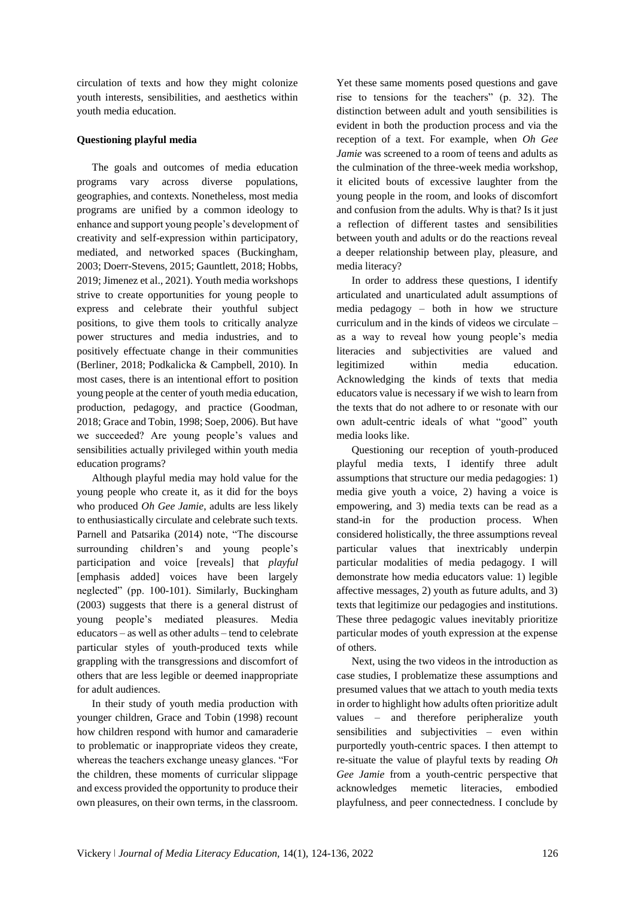circulation of texts and how they might colonize youth interests, sensibilities, and aesthetics within youth media education.

### **Questioning playful media**

The goals and outcomes of media education programs vary across diverse populations, geographies, and contexts. Nonetheless, most media programs are unified by a common ideology to enhance and support young people's development of creativity and self-expression within participatory, mediated, and networked spaces (Buckingham, 2003; Doerr-Stevens, 2015; Gauntlett, 2018; Hobbs, 2019; Jimenez et al., 2021). Youth media workshops strive to create opportunities for young people to express and celebrate their youthful subject positions, to give them tools to critically analyze power structures and media industries, and to positively effectuate change in their communities (Berliner, 2018; Podkalicka & Campbell, 2010). In most cases, there is an intentional effort to position young people at the center of youth media education, production, pedagogy, and practice (Goodman, 2018; Grace and Tobin, 1998; Soep, 2006). But have we succeeded? Are young people's values and sensibilities actually privileged within youth media education programs?

Although playful media may hold value for the young people who create it, as it did for the boys who produced *Oh Gee Jamie*, adults are less likely to enthusiastically circulate and celebrate such texts. Parnell and Patsarika (2014) note, "The discourse surrounding children's and young people's participation and voice [reveals] that *playful* [emphasis added] voices have been largely neglected" (pp. 100-101). Similarly, Buckingham (2003) suggests that there is a general distrust of young people's mediated pleasures. Media educators – as well as other adults – tend to celebrate particular styles of youth-produced texts while grappling with the transgressions and discomfort of others that are less legible or deemed inappropriate for adult audiences.

In their study of youth media production with younger children, Grace and Tobin (1998) recount how children respond with humor and camaraderie to problematic or inappropriate videos they create, whereas the teachers exchange uneasy glances. "For the children, these moments of curricular slippage and excess provided the opportunity to produce their own pleasures, on their own terms, in the classroom.

Yet these same moments posed questions and gave rise to tensions for the teachers" (p. 32). The distinction between adult and youth sensibilities is evident in both the production process and via the reception of a text. For example, when *Oh Gee Jamie* was screened to a room of teens and adults as the culmination of the three-week media workshop, it elicited bouts of excessive laughter from the young people in the room, and looks of discomfort and confusion from the adults. Why is that? Is it just a reflection of different tastes and sensibilities between youth and adults or do the reactions reveal a deeper relationship between play, pleasure, and media literacy?

In order to address these questions, I identify articulated and unarticulated adult assumptions of media pedagogy – both in how we structure curriculum and in the kinds of videos we circulate – as a way to reveal how young people's media literacies and subjectivities are valued and legitimized within media education. Acknowledging the kinds of texts that media educators value is necessary if we wish to learn from the texts that do not adhere to or resonate with our own adult-centric ideals of what "good" youth media looks like.

Questioning our reception of youth-produced playful media texts, I identify three adult assumptions that structure our media pedagogies: 1) media give youth a voice, 2) having a voice is empowering, and 3) media texts can be read as a stand-in for the production process. When considered holistically, the three assumptions reveal particular values that inextricably underpin particular modalities of media pedagogy. I will demonstrate how media educators value: 1) legible affective messages, 2) youth as future adults, and 3) texts that legitimize our pedagogies and institutions. These three pedagogic values inevitably prioritize particular modes of youth expression at the expense of others.

Next, using the two videos in the introduction as case studies, I problematize these assumptions and presumed values that we attach to youth media texts in order to highlight how adults often prioritize adult values – and therefore peripheralize youth sensibilities and subjectivities – even within purportedly youth-centric spaces. I then attempt to re-situate the value of playful texts by reading *Oh Gee Jamie* from a youth-centric perspective that acknowledges memetic literacies, embodied playfulness, and peer connectedness. I conclude by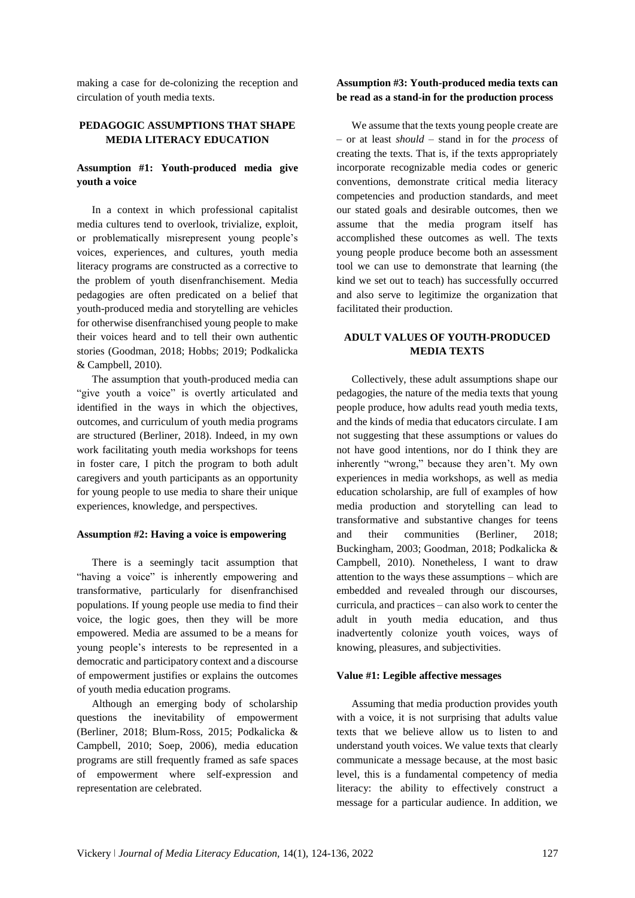making a case for de-colonizing the reception and circulation of youth media texts.

# **PEDAGOGIC ASSUMPTIONS THAT SHAPE MEDIA LITERACY EDUCATION**

# **Assumption #1: Youth-produced media give youth a voice**

In a context in which professional capitalist media cultures tend to overlook, trivialize, exploit, or problematically misrepresent young people's voices, experiences, and cultures, youth media literacy programs are constructed as a corrective to the problem of youth disenfranchisement. Media pedagogies are often predicated on a belief that youth-produced media and storytelling are vehicles for otherwise disenfranchised young people to make their voices heard and to tell their own authentic stories (Goodman, 2018; Hobbs; 2019; Podkalicka & Campbell, 2010).

The assumption that youth-produced media can "give youth a voice" is overtly articulated and identified in the ways in which the objectives, outcomes, and curriculum of youth media programs are structured (Berliner, 2018). Indeed, in my own work facilitating youth media workshops for teens in foster care, I pitch the program to both adult caregivers and youth participants as an opportunity for young people to use media to share their unique experiences, knowledge, and perspectives.

### **Assumption #2: Having a voice is empowering**

There is a seemingly tacit assumption that "having a voice" is inherently empowering and transformative, particularly for disenfranchised populations. If young people use media to find their voice, the logic goes, then they will be more empowered. Media are assumed to be a means for young people's interests to be represented in a democratic and participatory context and a discourse of empowerment justifies or explains the outcomes of youth media education programs.

Although an emerging body of scholarship questions the inevitability of empowerment (Berliner, 2018; Blum-Ross, 2015; Podkalicka & Campbell, 2010; Soep, 2006), media education programs are still frequently framed as safe spaces of empowerment where self-expression and representation are celebrated.

### **Assumption #3: Youth-produced media texts can be read as a stand-in for the production process**

We assume that the texts young people create are – or at least *should –* stand in for the *process* of creating the texts. That is, if the texts appropriately incorporate recognizable media codes or generic conventions, demonstrate critical media literacy competencies and production standards, and meet our stated goals and desirable outcomes, then we assume that the media program itself has accomplished these outcomes as well. The texts young people produce become both an assessment tool we can use to demonstrate that learning (the kind we set out to teach) has successfully occurred and also serve to legitimize the organization that facilitated their production.

# **ADULT VALUES OF YOUTH-PRODUCED MEDIA TEXTS**

Collectively, these adult assumptions shape our pedagogies, the nature of the media texts that young people produce, how adults read youth media texts, and the kinds of media that educators circulate. I am not suggesting that these assumptions or values do not have good intentions, nor do I think they are inherently "wrong," because they aren't. My own experiences in media workshops, as well as media education scholarship, are full of examples of how media production and storytelling can lead to transformative and substantive changes for teens and their communities (Berliner, 2018; Buckingham, 2003; Goodman, 2018; Podkalicka & Campbell, 2010). Nonetheless, I want to draw attention to the ways these assumptions – which are embedded and revealed through our discourses, curricula, and practices – can also work to center the adult in youth media education, and thus inadvertently colonize youth voices, ways of knowing, pleasures, and subjectivities.

### **Value #1: Legible affective messages**

Assuming that media production provides youth with a voice, it is not surprising that adults value texts that we believe allow us to listen to and understand youth voices. We value texts that clearly communicate a message because, at the most basic level, this is a fundamental competency of media literacy: the ability to effectively construct a message for a particular audience. In addition, we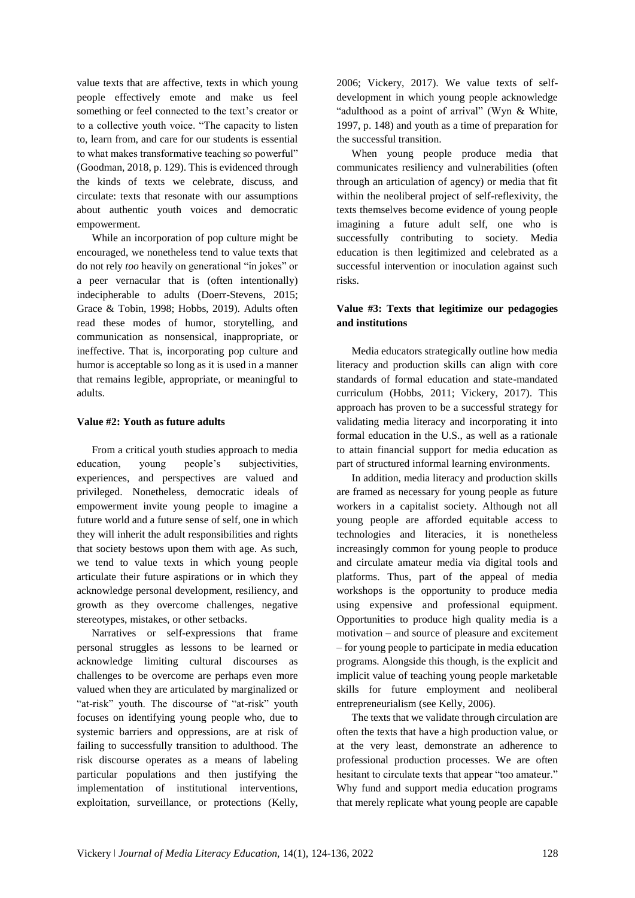value texts that are affective, texts in which young people effectively emote and make us feel something or feel connected to the text's creator or to a collective youth voice. "The capacity to listen to, learn from, and care for our students is essential to what makes transformative teaching so powerful" (Goodman, 2018, p. 129). This is evidenced through the kinds of texts we celebrate, discuss, and circulate: texts that resonate with our assumptions about authentic youth voices and democratic empowerment.

While an incorporation of pop culture might be encouraged, we nonetheless tend to value texts that do not rely *too* heavily on generational "in jokes" or a peer vernacular that is (often intentionally) indecipherable to adults (Doerr-Stevens, 2015; Grace & Tobin, 1998; Hobbs, 2019). Adults often read these modes of humor, storytelling, and communication as nonsensical, inappropriate, or ineffective. That is, incorporating pop culture and humor is acceptable so long as it is used in a manner that remains legible, appropriate, or meaningful to adults.

### **Value #2: Youth as future adults**

From a critical youth studies approach to media education, young people's subjectivities, experiences, and perspectives are valued and privileged. Nonetheless, democratic ideals of empowerment invite young people to imagine a future world and a future sense of self, one in which they will inherit the adult responsibilities and rights that society bestows upon them with age. As such, we tend to value texts in which young people articulate their future aspirations or in which they acknowledge personal development, resiliency, and growth as they overcome challenges, negative stereotypes, mistakes, or other setbacks.

Narratives or self-expressions that frame personal struggles as lessons to be learned or acknowledge limiting cultural discourses as challenges to be overcome are perhaps even more valued when they are articulated by marginalized or "at-risk" youth. The discourse of "at-risk" youth focuses on identifying young people who, due to systemic barriers and oppressions, are at risk of failing to successfully transition to adulthood. The risk discourse operates as a means of labeling particular populations and then justifying the implementation of institutional interventions, exploitation, surveillance, or protections (Kelly,

2006; Vickery, 2017). We value texts of selfdevelopment in which young people acknowledge "adulthood as a point of arrival" (Wyn & White, 1997, p. 148) and youth as a time of preparation for the successful transition.

When young people produce media that communicates resiliency and vulnerabilities (often through an articulation of agency) or media that fit within the neoliberal project of self-reflexivity, the texts themselves become evidence of young people imagining a future adult self, one who is successfully contributing to society. Media education is then legitimized and celebrated as a successful intervention or inoculation against such risks.

## **Value #3: Texts that legitimize our pedagogies and institutions**

Media educators strategically outline how media literacy and production skills can align with core standards of formal education and state-mandated curriculum (Hobbs, 2011; Vickery, 2017). This approach has proven to be a successful strategy for validating media literacy and incorporating it into formal education in the U.S., as well as a rationale to attain financial support for media education as part of structured informal learning environments.

In addition, media literacy and production skills are framed as necessary for young people as future workers in a capitalist society. Although not all young people are afforded equitable access to technologies and literacies, it is nonetheless increasingly common for young people to produce and circulate amateur media via digital tools and platforms. Thus, part of the appeal of media workshops is the opportunity to produce media using expensive and professional equipment. Opportunities to produce high quality media is a motivation – and source of pleasure and excitement – for young people to participate in media education programs. Alongside this though, is the explicit and implicit value of teaching young people marketable skills for future employment and neoliberal entrepreneurialism (see Kelly, 2006).

The texts that we validate through circulation are often the texts that have a high production value, or at the very least, demonstrate an adherence to professional production processes. We are often hesitant to circulate texts that appear "too amateur." Why fund and support media education programs that merely replicate what young people are capable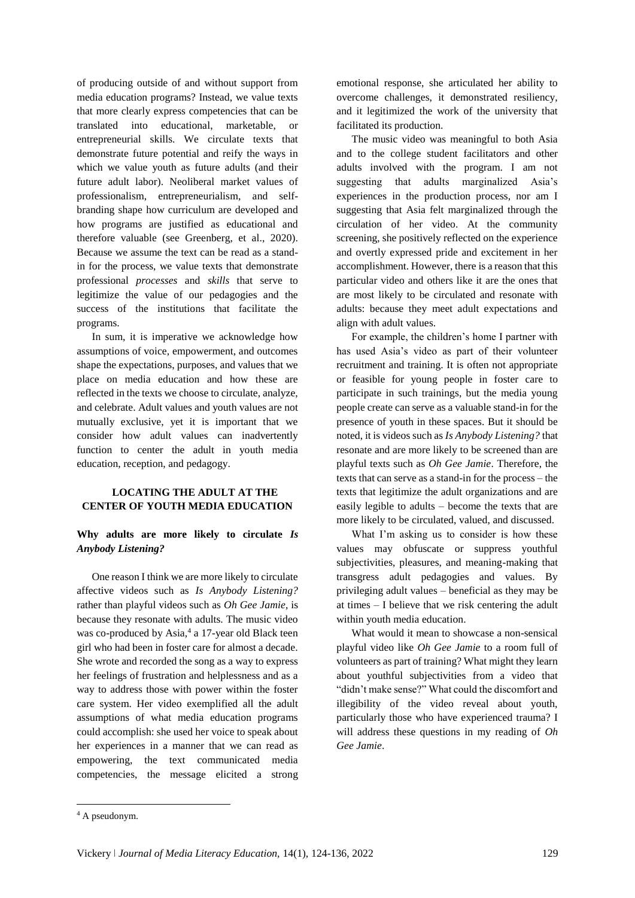of producing outside of and without support from media education programs? Instead, we value texts that more clearly express competencies that can be translated into educational, marketable, or entrepreneurial skills. We circulate texts that demonstrate future potential and reify the ways in which we value youth as future adults (and their future adult labor). Neoliberal market values of professionalism, entrepreneurialism, and selfbranding shape how curriculum are developed and how programs are justified as educational and therefore valuable (see Greenberg, et al., 2020). Because we assume the text can be read as a standin for the process, we value texts that demonstrate professional *processes* and *skills* that serve to legitimize the value of our pedagogies and the success of the institutions that facilitate the programs.

In sum, it is imperative we acknowledge how assumptions of voice, empowerment, and outcomes shape the expectations, purposes, and values that we place on media education and how these are reflected in the texts we choose to circulate, analyze, and celebrate. Adult values and youth values are not mutually exclusive, yet it is important that we consider how adult values can inadvertently function to center the adult in youth media education, reception, and pedagogy.

# **LOCATING THE ADULT AT THE CENTER OF YOUTH MEDIA EDUCATION**

# **Why adults are more likely to circulate** *Is Anybody Listening?*

One reason I think we are more likely to circulate affective videos such as *Is Anybody Listening?* rather than playful videos such as *Oh Gee Jamie*, is because they resonate with adults. The music video was co-produced by Asia,<sup>4</sup> a 17-year old Black teen girl who had been in foster care for almost a decade. She wrote and recorded the song as a way to express her feelings of frustration and helplessness and as a way to address those with power within the foster care system. Her video exemplified all the adult assumptions of what media education programs could accomplish: she used her voice to speak about her experiences in a manner that we can read as empowering, the text communicated media competencies, the message elicited a strong

emotional response, she articulated her ability to overcome challenges, it demonstrated resiliency, and it legitimized the work of the university that facilitated its production.

The music video was meaningful to both Asia and to the college student facilitators and other adults involved with the program. I am not suggesting that adults marginalized Asia's experiences in the production process, nor am I suggesting that Asia felt marginalized through the circulation of her video. At the community screening, she positively reflected on the experience and overtly expressed pride and excitement in her accomplishment. However, there is a reason that this particular video and others like it are the ones that are most likely to be circulated and resonate with adults: because they meet adult expectations and align with adult values.

For example, the children's home I partner with has used Asia's video as part of their volunteer recruitment and training. It is often not appropriate or feasible for young people in foster care to participate in such trainings, but the media young people create can serve as a valuable stand-in for the presence of youth in these spaces. But it should be noted, it is videos such as *Is Anybody Listening?* that resonate and are more likely to be screened than are playful texts such as *Oh Gee Jamie*. Therefore, the texts that can serve as a stand-in for the process – the texts that legitimize the adult organizations and are easily legible to adults – become the texts that are more likely to be circulated, valued, and discussed.

What I'm asking us to consider is how these values may obfuscate or suppress youthful subjectivities, pleasures, and meaning-making that transgress adult pedagogies and values. By privileging adult values – beneficial as they may be at times – I believe that we risk centering the adult within youth media education.

What would it mean to showcase a non-sensical playful video like *Oh Gee Jamie* to a room full of volunteers as part of training? What might they learn about youthful subjectivities from a video that "didn't make sense?" What could the discomfort and illegibility of the video reveal about youth, particularly those who have experienced trauma? I will address these questions in my reading of *Oh Gee Jamie*.

**.** 

<sup>4</sup> A pseudonym.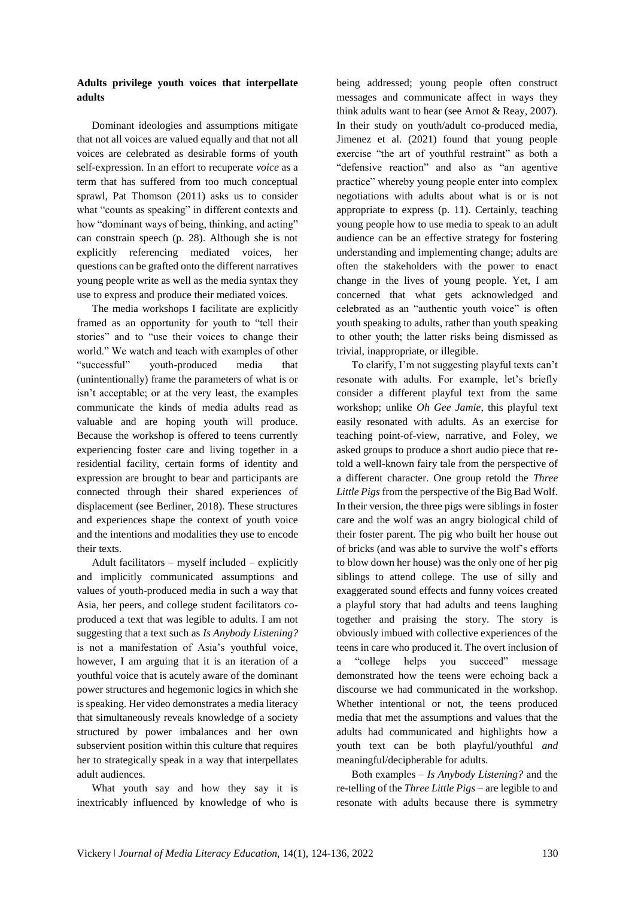Dominant ideologies and assumptions mitigate that not all voices are valued equally and that not all voices are celebrated as desirable forms of youth self-expression. In an effort to recuperate *voice* as a term that has suffered from too much conceptual sprawl, Pat Thomson (2011) asks us to consider what "counts as speaking" in different contexts and how "dominant ways of being, thinking, and acting" can constrain speech (p. 28). Although she is not explicitly referencing mediated voices, her questions can be grafted onto the different narratives young people write as well as the media syntax they use to express and produce their mediated voices.

The media workshops I facilitate are explicitly framed as an opportunity for youth to "tell their stories" and to "use their voices to change their world." We watch and teach with examples of other "successful" youth-produced media that (unintentionally) frame the parameters of what is or isn't acceptable; or at the very least, the examples communicate the kinds of media adults read as valuable and are hoping youth will produce. Because the workshop is offered to teens currently experiencing foster care and living together in a residential facility, certain forms of identity and expression are brought to bear and participants are connected through their shared experiences of displacement (see Berliner, 2018). These structures and experiences shape the context of youth voice and the intentions and modalities they use to encode their texts.

Adult facilitators – myself included – explicitly and implicitly communicated assumptions and values of youth-produced media in such a way that Asia, her peers, and college student facilitators coproduced a text that was legible to adults. I am not suggesting that a text such as *Is Anybody Listening?* is not a manifestation of Asia's youthful voice, however, I am arguing that it is an iteration of a youthful voice that is acutely aware of the dominant power structures and hegemonic logics in which she is speaking. Her video demonstrates a media literacy that simultaneously reveals knowledge of a society structured by power imbalances and her own subservient position within this culture that requires her to strategically speak in a way that interpellates adult audiences.

What youth say and how they say it is inextricably influenced by knowledge of who is being addressed; young people often construct messages and communicate affect in ways they think adults want to hear (see Arnot & Reay, 2007). In their study on youth/adult co-produced media, Jimenez et al. (2021) found that young people exercise "the art of youthful restraint" as both a "defensive reaction" and also as "an agentive practice" whereby young people enter into complex negotiations with adults about what is or is not appropriate to express (p. 11). Certainly, teaching young people how to use media to speak to an adult audience can be an effective strategy for fostering understanding and implementing change; adults are often the stakeholders with the power to enact change in the lives of young people. Yet, I am concerned that what gets acknowledged and celebrated as an "authentic youth voice" is often youth speaking to adults, rather than youth speaking to other youth; the latter risks being dismissed as trivial, inappropriate, or illegible.

To clarify, I'm not suggesting playful texts can't resonate with adults. For example, let's briefly consider a different playful text from the same workshop; unlike *Oh Gee Jamie*, this playful text easily resonated with adults. As an exercise for teaching point-of-view, narrative, and Foley, we asked groups to produce a short audio piece that retold a well-known fairy tale from the perspective of a different character. One group retold the *Three Little Pigs* from the perspective of the Big Bad Wolf. In their version, the three pigs were siblings in foster care and the wolf was an angry biological child of their foster parent. The pig who built her house out of bricks (and was able to survive the wolf's efforts to blow down her house) was the only one of her pig siblings to attend college. The use of silly and exaggerated sound effects and funny voices created a playful story that had adults and teens laughing together and praising the story. The story is obviously imbued with collective experiences of the teens in care who produced it. The overt inclusion of a "college helps you succeed" message demonstrated how the teens were echoing back a discourse we had communicated in the workshop. Whether intentional or not, the teens produced media that met the assumptions and values that the adults had communicated and highlights how a youth text can be both playful/youthful *and* meaningful/decipherable for adults.

Both examples – *Is Anybody Listening?* and the re-telling of the *Three Little Pigs* – are legible to and resonate with adults because there is symmetry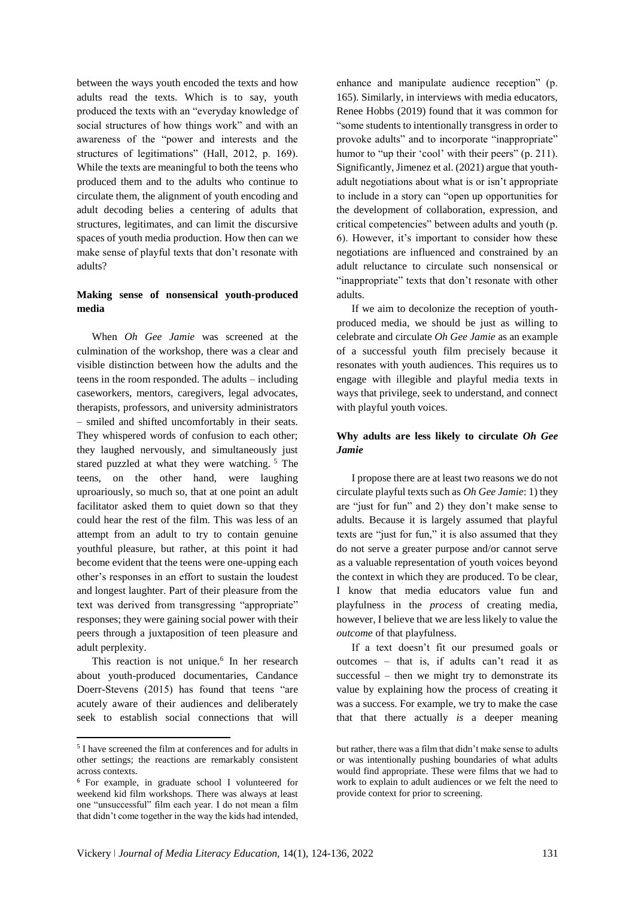between the ways youth encoded the texts and how adults read the texts. Which is to say, youth produced the texts with an "everyday knowledge of social structures of how things work" and with an awareness of the "power and interests and the structures of legitimations" (Hall, 2012, p. 169). While the texts are meaningful to both the teens who produced them and to the adults who continue to circulate them, the alignment of youth encoding and adult decoding belies a centering of adults that structures, legitimates, and can limit the discursive spaces of youth media production. How then can we make sense of playful texts that don't resonate with adults?

# **Making sense of nonsensical youth-produced media**

When *Oh Gee Jamie* was screened at the culmination of the workshop, there was a clear and visible distinction between how the adults and the teens in the room responded. The adults – including caseworkers, mentors, caregivers, legal advocates, therapists, professors, and university administrators – smiled and shifted uncomfortably in their seats. They whispered words of confusion to each other; they laughed nervously, and simultaneously just stared puzzled at what they were watching.<sup>5</sup> The teens, on the other hand, were laughing uproariously, so much so, that at one point an adult facilitator asked them to quiet down so that they could hear the rest of the film. This was less of an attempt from an adult to try to contain genuine youthful pleasure, but rather, at this point it had become evident that the teens were one-upping each other's responses in an effort to sustain the loudest and longest laughter. Part of their pleasure from the text was derived from transgressing "appropriate" responses; they were gaining social power with their peers through a juxtaposition of teen pleasure and adult perplexity.

This reaction is not unique.<sup>6</sup> In her research about youth-produced documentaries, Candance Doerr-Stevens (2015) has found that teens "are acutely aware of their audiences and deliberately seek to establish social connections that will

 $\overline{\phantom{a}}$ 

enhance and manipulate audience reception" (p. 165). Similarly, in interviews with media educators, Renee Hobbs (2019) found that it was common for "some students to intentionally transgress in order to provoke adults" and to incorporate "inappropriate" humor to "up their 'cool' with their peers" (p. 211). Significantly, Jimenez et al. (2021) argue that youthadult negotiations about what is or isn't appropriate to include in a story can "open up opportunities for the development of collaboration, expression, and critical competencies" between adults and youth (p. 6). However, it's important to consider how these negotiations are influenced and constrained by an adult reluctance to circulate such nonsensical or "inappropriate" texts that don't resonate with other adults.

If we aim to decolonize the reception of youthproduced media, we should be just as willing to celebrate and circulate *Oh Gee Jamie* as an example of a successful youth film precisely because it resonates with youth audiences. This requires us to engage with illegible and playful media texts in ways that privilege, seek to understand, and connect with playful youth voices.

### **Why adults are less likely to circulate** *Oh Gee Jamie*

I propose there are at least two reasons we do not circulate playful texts such as *Oh Gee Jamie*: 1) they are "just for fun" and 2) they don't make sense to adults. Because it is largely assumed that playful texts are "just for fun," it is also assumed that they do not serve a greater purpose and/or cannot serve as a valuable representation of youth voices beyond the context in which they are produced. To be clear, I know that media educators value fun and playfulness in the *process* of creating media, however, I believe that we are less likely to value the *outcome* of that playfulness.

If a text doesn't fit our presumed goals or outcomes – that is, if adults can't read it as successful – then we might try to demonstrate its value by explaining how the process of creating it was a success. For example, we try to make the case that that there actually *is* a deeper meaning

<sup>5</sup> I have screened the film at conferences and for adults in other settings; the reactions are remarkably consistent across contexts.

<sup>6</sup> For example, in graduate school I volunteered for weekend kid film workshops. There was always at least one "unsuccessful" film each year. I do not mean a film that didn't come together in the way the kids had intended,

but rather, there was a film that didn't make sense to adults or was intentionally pushing boundaries of what adults would find appropriate. These were films that we had to work to explain to adult audiences or we felt the need to provide context for prior to screening.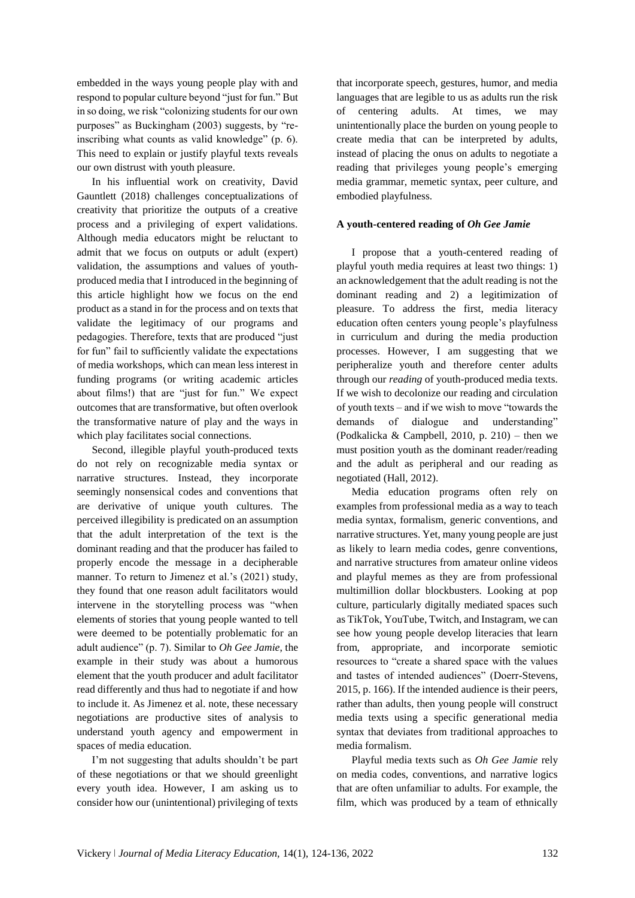embedded in the ways young people play with and respond to popular culture beyond "just for fun." But in so doing, we risk "colonizing students for our own purposes" as Buckingham (2003) suggests, by "reinscribing what counts as valid knowledge" (p. 6). This need to explain or justify playful texts reveals our own distrust with youth pleasure.

In his influential work on creativity, David Gauntlett (2018) challenges conceptualizations of creativity that prioritize the outputs of a creative process and a privileging of expert validations. Although media educators might be reluctant to admit that we focus on outputs or adult (expert) validation, the assumptions and values of youthproduced media that I introduced in the beginning of this article highlight how we focus on the end product as a stand in for the process and on texts that validate the legitimacy of our programs and pedagogies. Therefore, texts that are produced "just for fun" fail to sufficiently validate the expectations of media workshops, which can mean less interest in funding programs (or writing academic articles about films!) that are "just for fun." We expect outcomes that are transformative, but often overlook the transformative nature of play and the ways in which play facilitates social connections.

Second, illegible playful youth-produced texts do not rely on recognizable media syntax or narrative structures. Instead, they incorporate seemingly nonsensical codes and conventions that are derivative of unique youth cultures. The perceived illegibility is predicated on an assumption that the adult interpretation of the text is the dominant reading and that the producer has failed to properly encode the message in a decipherable manner. To return to Jimenez et al.'s (2021) study, they found that one reason adult facilitators would intervene in the storytelling process was "when elements of stories that young people wanted to tell were deemed to be potentially problematic for an adult audience" (p. 7). Similar to *Oh Gee Jamie*, the example in their study was about a humorous element that the youth producer and adult facilitator read differently and thus had to negotiate if and how to include it. As Jimenez et al. note, these necessary negotiations are productive sites of analysis to understand youth agency and empowerment in spaces of media education.

I'm not suggesting that adults shouldn't be part of these negotiations or that we should greenlight every youth idea. However, I am asking us to consider how our (unintentional) privileging of texts

that incorporate speech, gestures, humor, and media languages that are legible to us as adults run the risk of centering adults. At times, we may unintentionally place the burden on young people to create media that can be interpreted by adults, instead of placing the onus on adults to negotiate a reading that privileges young people's emerging media grammar, memetic syntax, peer culture, and embodied playfulness.

### **A youth-centered reading of** *Oh Gee Jamie*

I propose that a youth-centered reading of playful youth media requires at least two things: 1) an acknowledgement that the adult reading is not the dominant reading and 2) a legitimization of pleasure. To address the first, media literacy education often centers young people's playfulness in curriculum and during the media production processes. However, I am suggesting that we peripheralize youth and therefore center adults through our *reading* of youth-produced media texts. If we wish to decolonize our reading and circulation of youth texts – and if we wish to move "towards the demands of dialogue and understanding" (Podkalicka & Campbell, 2010, p. 210) – then we must position youth as the dominant reader/reading and the adult as peripheral and our reading as negotiated (Hall, 2012).

Media education programs often rely on examples from professional media as a way to teach media syntax, formalism, generic conventions, and narrative structures. Yet, many young people are just as likely to learn media codes, genre conventions, and narrative structures from amateur online videos and playful memes as they are from professional multimillion dollar blockbusters. Looking at pop culture, particularly digitally mediated spaces such as TikTok, YouTube, Twitch, and Instagram, we can see how young people develop literacies that learn from, appropriate, and incorporate semiotic resources to "create a shared space with the values and tastes of intended audiences" (Doerr-Stevens, 2015, p. 166). If the intended audience is their peers, rather than adults, then young people will construct media texts using a specific generational media syntax that deviates from traditional approaches to media formalism.

Playful media texts such as *Oh Gee Jamie* rely on media codes, conventions, and narrative logics that are often unfamiliar to adults. For example, the film, which was produced by a team of ethnically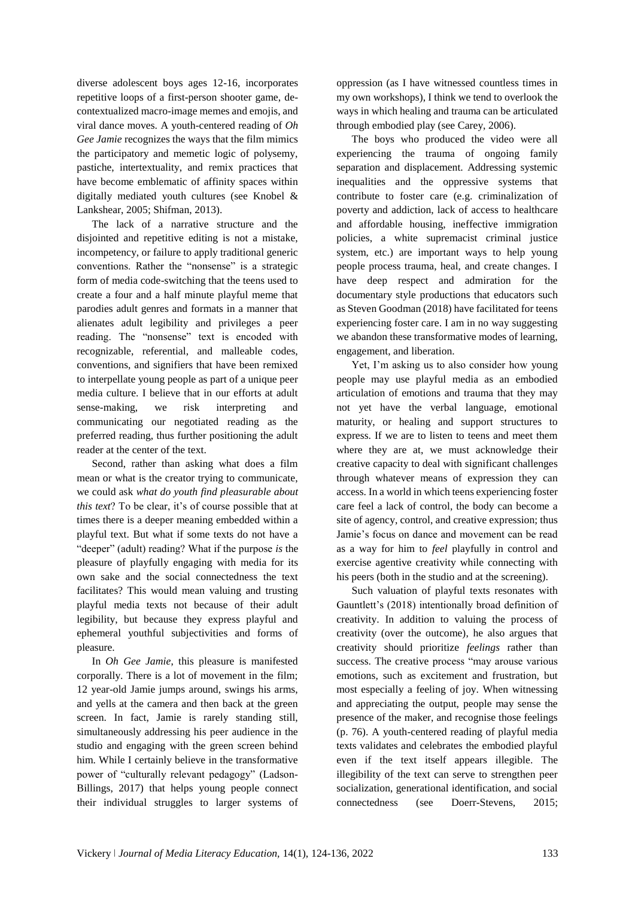diverse adolescent boys ages 12-16, incorporates repetitive loops of a first-person shooter game, decontextualized macro-image memes and emojis, and viral dance moves. A youth-centered reading of *Oh Gee Jamie* recognizes the ways that the film mimics the participatory and memetic logic of polysemy, pastiche, intertextuality, and remix practices that have become emblematic of affinity spaces within digitally mediated youth cultures (see Knobel & Lankshear, 2005; Shifman, 2013).

The lack of a narrative structure and the disjointed and repetitive editing is not a mistake, incompetency, or failure to apply traditional generic conventions. Rather the "nonsense" is a strategic form of media code-switching that the teens used to create a four and a half minute playful meme that parodies adult genres and formats in a manner that alienates adult legibility and privileges a peer reading. The "nonsense" text is encoded with recognizable, referential, and malleable codes, conventions, and signifiers that have been remixed to interpellate young people as part of a unique peer media culture. I believe that in our efforts at adult sense-making, we risk interpreting and communicating our negotiated reading as the preferred reading, thus further positioning the adult reader at the center of the text.

Second, rather than asking what does a film mean or what is the creator trying to communicate, we could ask *what do youth find pleasurable about this text*? To be clear, it's of course possible that at times there is a deeper meaning embedded within a playful text. But what if some texts do not have a "deeper" (adult) reading? What if the purpose *is* the pleasure of playfully engaging with media for its own sake and the social connectedness the text facilitates? This would mean valuing and trusting playful media texts not because of their adult legibility, but because they express playful and ephemeral youthful subjectivities and forms of pleasure.

In *Oh Gee Jamie*, this pleasure is manifested corporally. There is a lot of movement in the film; 12 year-old Jamie jumps around, swings his arms, and yells at the camera and then back at the green screen. In fact, Jamie is rarely standing still, simultaneously addressing his peer audience in the studio and engaging with the green screen behind him. While I certainly believe in the transformative power of "culturally relevant pedagogy" (Ladson-Billings, 2017) that helps young people connect their individual struggles to larger systems of oppression (as I have witnessed countless times in my own workshops), I think we tend to overlook the ways in which healing and trauma can be articulated through embodied play (see Carey, 2006).

The boys who produced the video were all experiencing the trauma of ongoing family separation and displacement. Addressing systemic inequalities and the oppressive systems that contribute to foster care (e.g. criminalization of poverty and addiction, lack of access to healthcare and affordable housing, ineffective immigration policies, a white supremacist criminal justice system, etc.) are important ways to help young people process trauma, heal, and create changes. I have deep respect and admiration for the documentary style productions that educators such as Steven Goodman (2018) have facilitated for teens experiencing foster care. I am in no way suggesting we abandon these transformative modes of learning, engagement, and liberation.

Yet, I'm asking us to also consider how young people may use playful media as an embodied articulation of emotions and trauma that they may not yet have the verbal language, emotional maturity, or healing and support structures to express. If we are to listen to teens and meet them where they are at, we must acknowledge their creative capacity to deal with significant challenges through whatever means of expression they can access. In a world in which teens experiencing foster care feel a lack of control, the body can become a site of agency, control, and creative expression; thus Jamie's focus on dance and movement can be read as a way for him to *feel* playfully in control and exercise agentive creativity while connecting with his peers (both in the studio and at the screening).

Such valuation of playful texts resonates with Gauntlett's (2018) intentionally broad definition of creativity. In addition to valuing the process of creativity (over the outcome), he also argues that creativity should prioritize *feelings* rather than success. The creative process "may arouse various emotions, such as excitement and frustration, but most especially a feeling of joy. When witnessing and appreciating the output, people may sense the presence of the maker, and recognise those feelings (p. 76). A youth-centered reading of playful media texts validates and celebrates the embodied playful even if the text itself appears illegible. The illegibility of the text can serve to strengthen peer socialization, generational identification, and social connectedness (see Doerr-Stevens, 2015;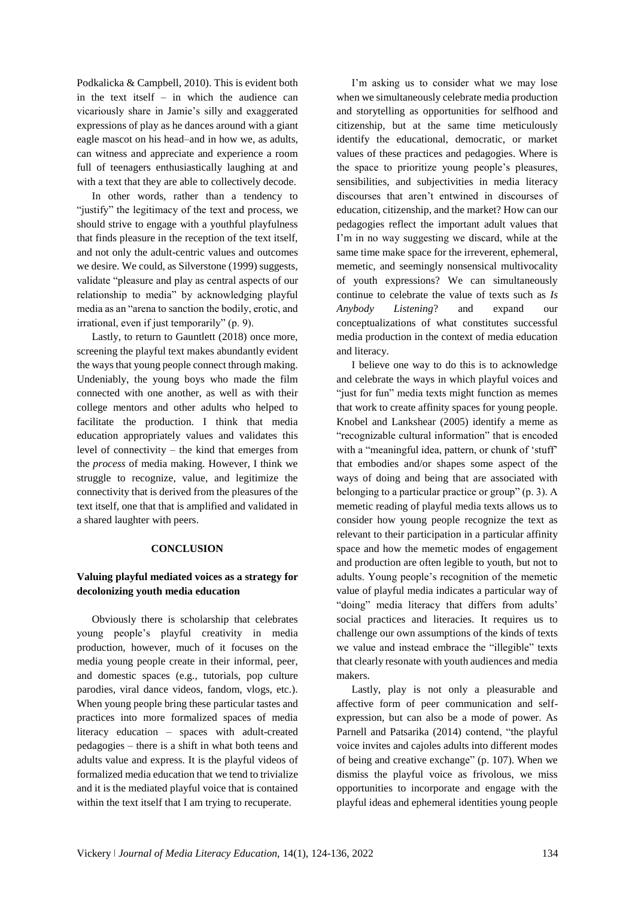Podkalicka & Campbell, 2010). This is evident both in the text itself – in which the audience can vicariously share in Jamie's silly and exaggerated expressions of play as he dances around with a giant eagle mascot on his head–and in how we, as adults, can witness and appreciate and experience a room full of teenagers enthusiastically laughing at and with a text that they are able to collectively decode.

In other words, rather than a tendency to "justify" the legitimacy of the text and process, we should strive to engage with a youthful playfulness that finds pleasure in the reception of the text itself, and not only the adult-centric values and outcomes we desire. We could, as Silverstone (1999) suggests, validate "pleasure and play as central aspects of our relationship to media" by acknowledging playful media as an "arena to sanction the bodily, erotic, and irrational, even if just temporarily" (p. 9).

Lastly, to return to Gauntlett (2018) once more, screening the playful text makes abundantly evident the ways that young people connect through making. Undeniably, the young boys who made the film connected with one another, as well as with their college mentors and other adults who helped to facilitate the production. I think that media education appropriately values and validates this level of connectivity – the kind that emerges from the *process* of media making. However, I think we struggle to recognize, value, and legitimize the connectivity that is derived from the pleasures of the text itself, one that that is amplified and validated in a shared laughter with peers.

### **CONCLUSION**

# **Valuing playful mediated voices as a strategy for decolonizing youth media education**

Obviously there is scholarship that celebrates young people's playful creativity in media production, however, much of it focuses on the media young people create in their informal, peer, and domestic spaces (e.g., tutorials, pop culture parodies, viral dance videos, fandom, vlogs, etc.). When young people bring these particular tastes and practices into more formalized spaces of media literacy education – spaces with adult-created pedagogies – there is a shift in what both teens and adults value and express. It is the playful videos of formalized media education that we tend to trivialize and it is the mediated playful voice that is contained within the text itself that I am trying to recuperate.

I'm asking us to consider what we may lose when we simultaneously celebrate media production and storytelling as opportunities for selfhood and citizenship, but at the same time meticulously identify the educational, democratic, or market values of these practices and pedagogies. Where is the space to prioritize young people's pleasures, sensibilities, and subjectivities in media literacy discourses that aren't entwined in discourses of education, citizenship, and the market? How can our pedagogies reflect the important adult values that I'm in no way suggesting we discard, while at the same time make space for the irreverent, ephemeral, memetic, and seemingly nonsensical multivocality of youth expressions? We can simultaneously continue to celebrate the value of texts such as *Is Anybody Listening*? and expand our conceptualizations of what constitutes successful media production in the context of media education and literacy.

I believe one way to do this is to acknowledge and celebrate the ways in which playful voices and "just for fun" media texts might function as memes that work to create affinity spaces for young people. Knobel and Lankshear (2005) identify a meme as "recognizable cultural information" that is encoded with a "meaningful idea, pattern, or chunk of 'stuff' that embodies and/or shapes some aspect of the ways of doing and being that are associated with belonging to a particular practice or group" (p. 3). A memetic reading of playful media texts allows us to consider how young people recognize the text as relevant to their participation in a particular affinity space and how the memetic modes of engagement and production are often legible to youth, but not to adults. Young people's recognition of the memetic value of playful media indicates a particular way of "doing" media literacy that differs from adults' social practices and literacies. It requires us to challenge our own assumptions of the kinds of texts we value and instead embrace the "illegible" texts that clearly resonate with youth audiences and media makers.

Lastly, play is not only a pleasurable and affective form of peer communication and selfexpression, but can also be a mode of power. As Parnell and Patsarika (2014) contend, "the playful voice invites and cajoles adults into different modes of being and creative exchange" (p. 107). When we dismiss the playful voice as frivolous, we miss opportunities to incorporate and engage with the playful ideas and ephemeral identities young people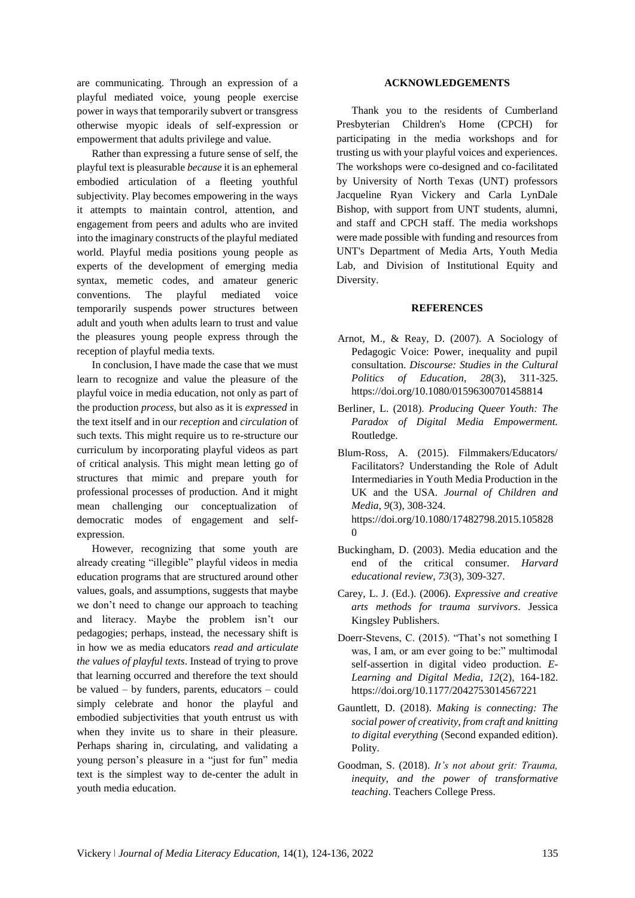are communicating. Through an expression of a playful mediated voice, young people exercise power in ways that temporarily subvert or transgress otherwise myopic ideals of self-expression or empowerment that adults privilege and value.

Rather than expressing a future sense of self, the playful text is pleasurable *because* it is an ephemeral embodied articulation of a fleeting youthful subjectivity. Play becomes empowering in the ways it attempts to maintain control, attention, and engagement from peers and adults who are invited into the imaginary constructs of the playful mediated world. Playful media positions young people as experts of the development of emerging media syntax, memetic codes, and amateur generic conventions. The playful mediated voice temporarily suspends power structures between adult and youth when adults learn to trust and value the pleasures young people express through the reception of playful media texts.

In conclusion, I have made the case that we must learn to recognize and value the pleasure of the playful voice in media education, not only as part of the production *process*, but also as it is *expressed* in the text itself and in our *reception* and *circulation* of such texts. This might require us to re-structure our curriculum by incorporating playful videos as part of critical analysis. This might mean letting go of structures that mimic and prepare youth for professional processes of production. And it might mean challenging our conceptualization of democratic modes of engagement and selfexpression.

However, recognizing that some youth are already creating "illegible" playful videos in media education programs that are structured around other values, goals, and assumptions, suggests that maybe we don't need to change our approach to teaching and literacy. Maybe the problem isn't our pedagogies; perhaps, instead, the necessary shift is in how we as media educators *read and articulate the values of playful texts*. Instead of trying to prove that learning occurred and therefore the text should be valued – by funders, parents, educators – could simply celebrate and honor the playful and embodied subjectivities that youth entrust us with when they invite us to share in their pleasure. Perhaps sharing in, circulating, and validating a young person's pleasure in a "just for fun" media text is the simplest way to de-center the adult in youth media education.

### **ACKNOWLEDGEMENTS**

Thank you to the residents of Cumberland Presbyterian Children's Home (CPCH) for participating in the media workshops and for trusting us with your playful voices and experiences. The workshops were co-designed and co-facilitated by University of North Texas (UNT) professors Jacqueline Ryan Vickery and Carla LynDale Bishop, with support from UNT students, alumni, and staff and CPCH staff. The media workshops were made possible with funding and resources from UNT's Department of Media Arts, Youth Media Lab, and Division of Institutional Equity and Diversity.

#### **REFERENCES**

- Arnot, M., & Reay, D. (2007). A Sociology of Pedagogic Voice: Power, inequality and pupil consultation. *Discourse: Studies in the Cultural Politics of Education*, *28*(3), 311-325. <https://doi.org/10.1080/01596300701458814>
- Berliner, L. (2018). *Producing Queer Youth: The Paradox of Digital Media Empowerment.* Routledge.
- Blum-Ross, A. (2015). Filmmakers/Educators/ Facilitators? Understanding the Role of Adult Intermediaries in Youth Media Production in the UK and the USA. *Journal of Children and Media*, *9*(3), 308-324. [https://doi.org/10.1080/17482798.2015.105828](https://doi.org/10.1080/17482798.2015.1058280) [0](https://doi.org/10.1080/17482798.2015.1058280)
- Buckingham, D. (2003). Media education and the end of the critical consumer. *Harvard educational review*, *73*(3), 309-327.
- Carey, L. J. (Ed.). (2006). *Expressive and creative arts methods for trauma survivors*. Jessica Kingsley Publishers.
- Doerr-Stevens, C. (2015). "That's not something I was, I am, or am ever going to be:" multimodal self-assertion in digital video production. *E-Learning and Digital Media*, *12*(2), 164-182. <https://doi.org/10.1177/2042753014567221>
- Gauntlett, D. (2018). *Making is connecting: The social power of creativity, from craft and knitting to digital everything* (Second expanded edition). Polity.
- Goodman, S. (2018). *It's not about grit: Trauma, inequity, and the power of transformative teaching*. Teachers College Press.